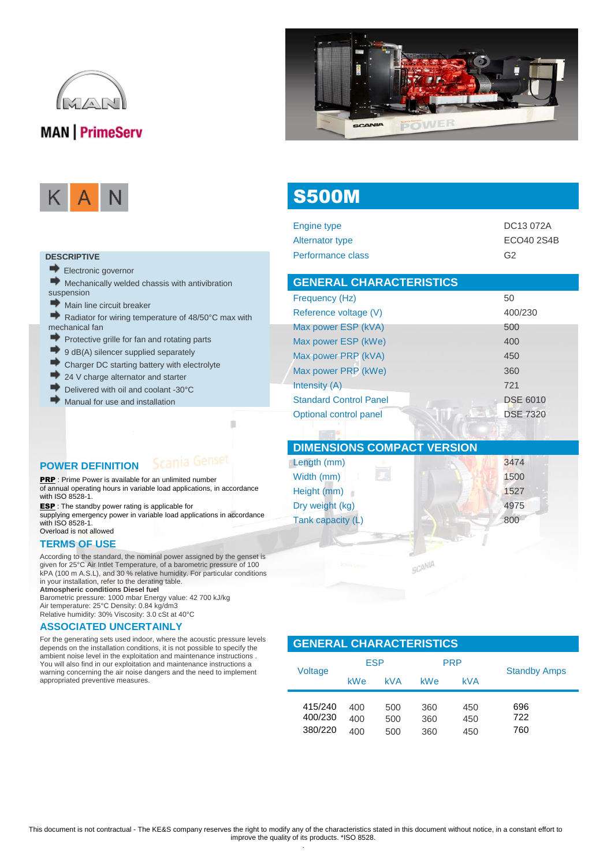



S500M

|--|--|--|

#### **DESCRIPTIVE**

Electronic governor

 $\blacktriangleright$  Mechanically welded chassis with antivibration suspension

- Main line circuit breaker
- $\Rightarrow$ Radiator for wiring temperature of 48/50°C max with mechanical fan
- Protective grille for fan and rotating parts
- $\rightarrow$  9 dB(A) silencer supplied separately
- Charger DC starting battery with electrolyte
- 24 V charge alternator and starter
- Delivered with oil and coolant -30°C
- Manual for use and installation

#### **POWER DEFINITION**

**PRP** : Prime Power is available for an unlimited number of annual operating hours in variable load applications, in accordance with ISO 8528-1.

D

ESP : The standby power rating is applicable for supplying emergency power in variable load applications in accordance with ISO 8528-1.

Overload is not allowed

#### **TERMS OF USE**

According to the standard, the nominal power assigned by the genset is given for 25°C Air Intlet Temperature, of a barometric pressure of 100 kPA (100 m A.S.L), and 30 % relative humidity. For particular conditions in your installation, refer to the derating table.

**Atmospheric conditions Diesel fuel**

Barometric pressure: 1000 mbar Energy value: 42 700 kJ/kg Air temperature: 25°C Density: 0.84 kg/dm3 Relative humidity: 30% Viscosity: 3.0 cSt at 40°C

#### **ASSOCIATED UNCERTAINLY**

For the generating sets used indoor, where the acoustic pressure levels depends on the installation conditions, it is not possible to specify the ambient noise level in the exploitation and maintenance instructions . You will also find in our exploitation and maintenance instructions a warning concerning the air noise dangers and the need to implement appropriated preventive measures.

| Engine type                    | DC13 072A       |
|--------------------------------|-----------------|
| Alternator type                | ECO40 2S4B      |
| Performance class              | G2              |
| <b>GENERAL CHARACTERISTICS</b> |                 |
| Frequency (Hz)                 | 50              |
| Reference voltage (V)          | 400/230         |
| Max power ESP (kVA)            | 500             |
| Max power ESP (kWe)            | 400             |
| Max power PRP (kVA)            | 450             |
| Max power PRP (kWe)            | 360             |
| Intensity (A)                  | 721             |
| <b>Standard Control Panel</b>  | <b>DSE 6010</b> |
| Optional control panel         | <b>DSE 7320</b> |

| <b>DIMENSIONS COMPACT VERSION</b> |        |
|-----------------------------------|--------|
| Length (mm)                       | 3474   |
| Width (mm)                        | 1500   |
| Height (mm)                       | 1527   |
| Dry weight (kg)                   | 4975   |
| Tank capacity (L)                 | 800    |
|                                   |        |
| Stania Genter                     | SCANIA |
|                                   |        |

#### **GENERAL CHARACTERISTICS**

| Voltage                       | <b>ESP</b>        |                   | <b>PRP</b>        |                   | <b>Standby Amps</b> |
|-------------------------------|-------------------|-------------------|-------------------|-------------------|---------------------|
|                               | <b>kWe</b>        | <b>kVA</b>        | <b>kWe</b>        | kVA               |                     |
| 415/240<br>400/230<br>380/220 | 400<br>400<br>400 | 500<br>500<br>500 | 360<br>360<br>360 | 450<br>450<br>450 | 696<br>722<br>760   |

.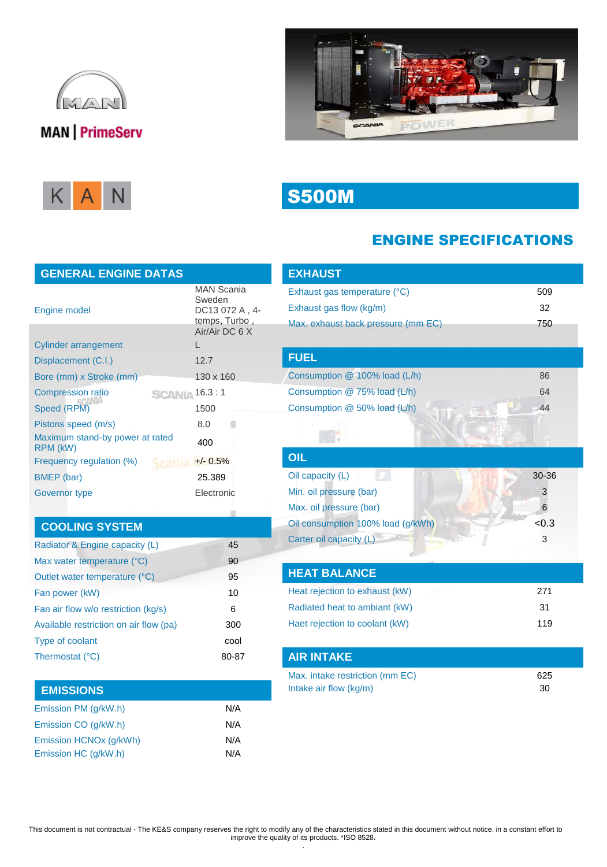





# S500M

### ENGINE SPECIFICATIONS

| <b>GENERAL ENGINE DATAS</b>                 |                                                                 |
|---------------------------------------------|-----------------------------------------------------------------|
| Engine model                                | <b>MAN Scania</b><br>Sweden<br>DC13 072 A , 4-<br>temps, Turbo, |
|                                             | Air/Air DC 6 X                                                  |
| <b>Cylinder arrangement</b>                 |                                                                 |
| Displacement (C.I.)                         | 12.7                                                            |
| Bore (mm) x Stroke (mm)                     | 130 x 160                                                       |
| <b>Compression ratio</b>                    | <b>SCANIA 16.3:1</b>                                            |
| Speed (RPM)                                 | 1500                                                            |
| Pistons speed (m/s)                         | 8.0                                                             |
| Maximum stand-by power at rated<br>RPM (kW) | 400                                                             |
| Frequency regulation (%)                    | $+/- 0.5%$                                                      |
| BMEP (bar)                                  | 25.389                                                          |
| Governor type                               | Electronic                                                      |

## **COOLING SYSTEM**

| 45    |
|-------|
| 90    |
| 95    |
| 10    |
| 6     |
| 300   |
| cool  |
| 80-87 |
|       |

## **EMISSIONS**

| Emission PM (g/kW.h)   | N/A |
|------------------------|-----|
| Emission CO (g/kW.h)   | N/A |
| Emission HCNOx (g/kWh) | N/A |
| Emission HC (q/kW.h)   | N/A |
|                        |     |

| <b>EXHAUST</b>                     |       |
|------------------------------------|-------|
| Exhaust gas temperature (°C)       | 509   |
| Exhaust gas flow (kg/m)            | 32    |
| Max. exhaust back pressure (mm EC) | 750   |
|                                    |       |
| <b>FUEL</b>                        |       |
| Consumption @ 100% load (L/h)      | 86    |
| Consumption @ 75% load (L/h)       | 64    |
| Consumption @ 50% load (L/h)       | 44    |
|                                    |       |
|                                    |       |
| OIL                                |       |
| Oil capacity (L)                   | 30-36 |
| Min. oil pressure (bar)            | 3     |
| Max. oil pressure (bar)            | 6     |
| Oil consumption 100% load (g/kWh)  | < 0.3 |
| Carter oil capacity (L)            | 3     |
|                                    |       |
| <b>HEAT BALANCE</b>                |       |
| Heat rejection to exhaust (kW)     | 271   |
| Radiated heat to ambiant (kW)      | 31    |
| Haet rejection to coolant (kW)     | 119   |
|                                    |       |
| <b>AIR INTAKE</b>                  |       |
| Max. intake restriction (mm EC)    | 625   |
| Intake air flow (kg/m)             | 30    |

This document is not contractual - The KE&S company reserves the right to modify any of the characteristics stated in this document without notice, in a constant effort to improve the quality of its products. \*ISO 8528.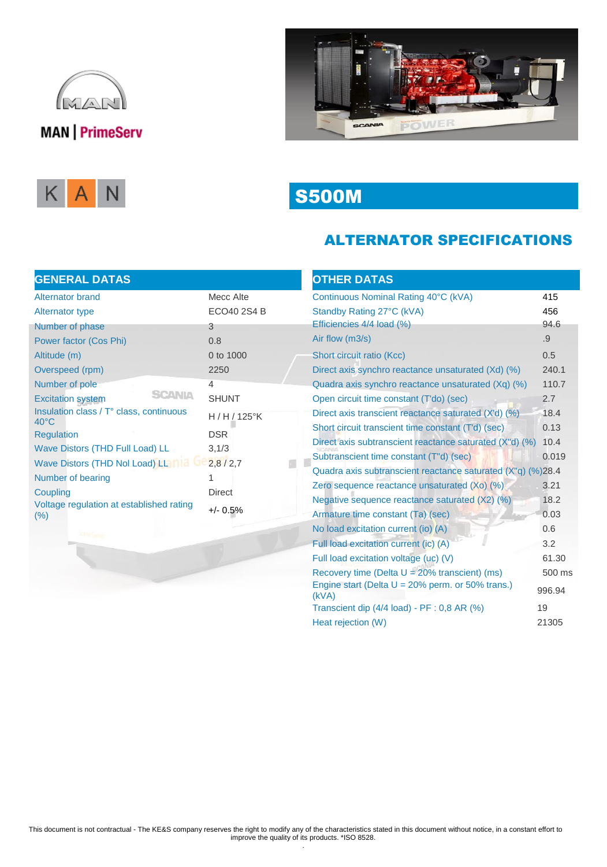





# S500M

### ALTERNATOR SPECIFICATIONS

### **GENERAL DATAS**

| Alternator brand                                          | Mecc Alte     |
|-----------------------------------------------------------|---------------|
| Alternator type                                           | ECO40 2S4 B   |
| Number of phase                                           | 3             |
| Power factor (Cos Phi)                                    | 0.8           |
| Altitude (m)                                              | 0 to 1000     |
| Overspeed (rpm)                                           | 2250          |
| Number of pole                                            | 4             |
| <b>SCANIA</b><br><b>Excitation system</b>                 | <b>SHUNT</b>  |
| Insulation class / T° class, continuous<br>$40^{\circ}$ C | H / H / 125°K |
| Regulation                                                | <b>DSR</b>    |
| Wave Distors (THD Full Load) LL                           | 3,1/3         |
| Wave Distors (THD Nol Load) LL                            | 2,8/2,7       |
| Number of bearing                                         | 1             |
| Coupling                                                  | Direct        |
| Voltage regulation at established rating<br>(%)           | $+/- 0.5\%$   |

| <b>OTHER DATAS</b>                                           |        |
|--------------------------------------------------------------|--------|
| Continuous Nominal Rating 40°C (kVA)                         | 415    |
| Standby Rating 27°C (kVA)                                    | 456    |
| Efficiencies 4/4 load (%)                                    | 94.6   |
| Air flow (m3/s)                                              | .9     |
| Short circuit ratio (Kcc)                                    | 0.5    |
| Direct axis synchro reactance unsaturated (Xd) (%)           | 240.1  |
| Quadra axis synchro reactance unsaturated (Xq) (%)           | 110.7  |
| Open circuit time constant (T'do) (sec)                      | 2.7    |
| Direct axis transcient reactance saturated (X'd) (%)         | 18.4   |
| Short circuit transcient time constant (T'd) (sec)           | 0.13   |
| Direct axis subtranscient reactance saturated (X"d) (%)      | 10.4   |
| Subtranscient time constant (T"d) (sec)                      | 0.019  |
| Quadra axis subtranscient reactance saturated (X"q) (%)28.4  |        |
| Zero sequence reactance unsaturated (Xo) (%)                 | 3.21   |
| Negative sequence reactance saturated (X2) (%)               | 18.2   |
| Armature time constant (Ta) (sec)                            | 0.03   |
| No load excitation current (io) (A)                          | 0.6    |
| Full load excitation current (ic) (A)                        | 3.2    |
| Full load excitation voltage (uc) (V)                        | 61.30  |
| Recovery time (Delta $U = 20\%$ transcient) (ms)             | 500 ms |
| Engine start (Delta $U = 20\%$ perm. or 50% trans.)<br>(kVA) | 996.94 |
| Transcient dip (4/4 load) - PF : 0,8 AR (%)                  | 19     |
| Heat rejection (W)                                           | 21305  |